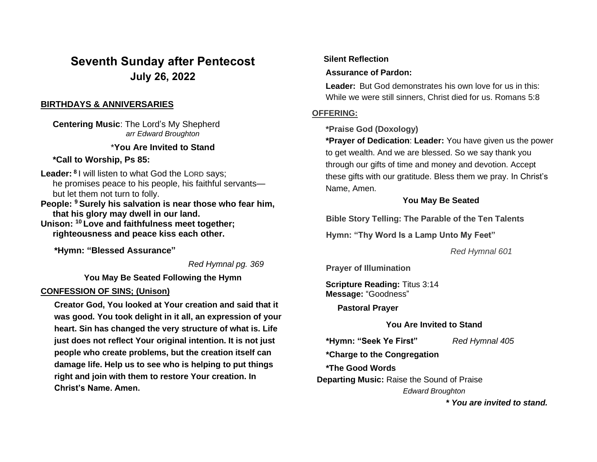## **Seventh Sunday after Pentecost July 26, 2022**

#### **BIRTHDAYS & ANNIVERSARIES**

 **Centering Music**: The Lord's My Shepherd *arr Edward Broughton*

#### \***You Are Invited to Stand**

 **\*Call to Worship, Ps 85:** 

- **Leader: <sup>8</sup>** I will listen to what God the LORD says; he promises peace to his people, his faithful servants but let them not turn to folly.
- **People: <sup>9</sup> Surely his salvation is near those who fear him, that his glory may dwell in our land.**
- **Unison: <sup>10</sup> Love and faithfulness meet together; righteousness and peace kiss each other.**

**\*Hymn: "Blessed Assurance"** 

*Red Hymnal pg. 369*

**You May Be Seated Following the Hymn**

#### **CONFESSION OF SINS; (Unison)**

**Creator God, You looked at Your creation and said that it was good. You took delight in it all, an expression of your heart. Sin has changed the very structure of what is. Life just does not reflect Your original intention. It is not just people who create problems, but the creation itself can damage life. Help us to see who is helping to put things right and join with them to restore Your creation. In Christ's Name. Amen.**

### **Silent Reflection**

#### **Assurance of Pardon:**

**Leader:** But God demonstrates his own love for us in this: While we were still sinners, Christ died for us. Romans 5:8

#### **OFFERING:**

**\*Praise God (Doxology)**

**\*Prayer of Dedication**: **Leader:** You have given us the power to get wealth. And we are blessed. So we say thank you through our gifts of time and money and devotion. Accept these gifts with our gratitude. Bless them we pray. In Christ's Name, Amen.

### **You May Be Seated**

 **Bible Story Telling: The Parable of the Ten Talents** 

 **Hymn: "Thy Word Is a Lamp Unto My Feet"** 

 *Red Hymnal 601*

**Prayer of Illumination**

**Scripture Reading:** Titus 3:14 **Message:** "Goodness"

 **Pastoral Prayer** 

#### **You Are Invited to Stand**

 **\*Hymn: "Seek Ye First"** *Red Hymnal 405* 

 **\*Charge to the Congregation**

 **\*The Good Words**

 **Departing Music:** Raise the Sound of Praise

*Edward Broughton*

 *\* You are invited to stand.*